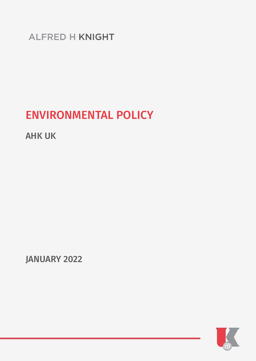**ALFRED H KNIGHT** 

# ENVIRONMENTAL POLICY

AHK UK

JANUARY 2022

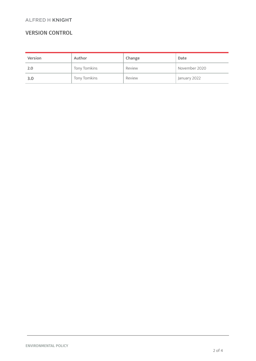#### **ALFRED H KNIGHT**

## VERSION CONTROL

| <b>Version</b> | Author       | Change | Date          |
|----------------|--------------|--------|---------------|
| 2.0            | Tony Tomkins | Review | November 2020 |
| 3.0            | Tony Tomkins | Review | January 2022  |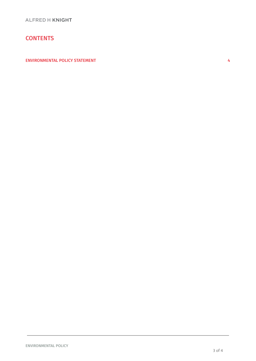## **CONTENTS**

[ENVIRONMENTAL](#page-3-0) POLICY STATEMENT **A**